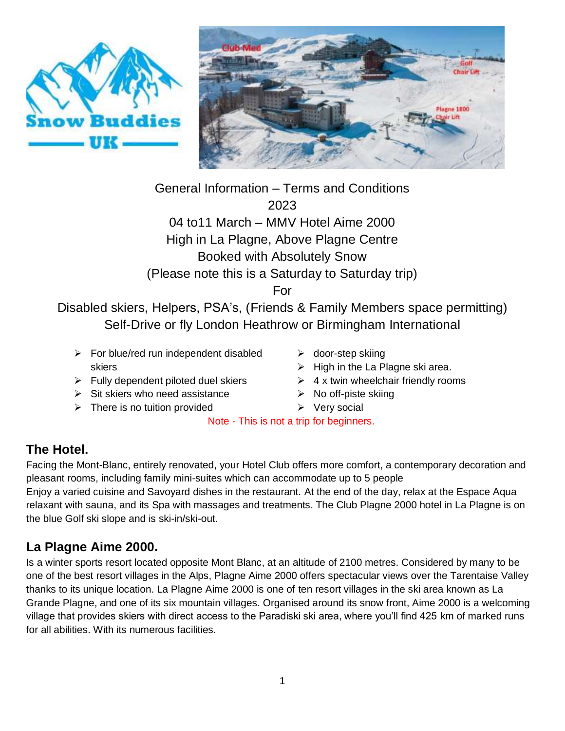



General Information – Terms and Conditions 2023 04 to11 March – MMV Hotel Aime 2000 High in La Plagne, Above Plagne Centre Booked with Absolutely Snow

(Please note this is a Saturday to Saturday trip)

For

Disabled skiers, Helpers, PSA's, (Friends & Family Members space permitting) Self-Drive or fly London Heathrow or Birmingham International

- $\triangleright$  For blue/red run independent disabled skiers
- $\triangleright$  Fully dependent piloted duel skiers
- $\triangleright$  Sit skiers who need assistance
- $\triangleright$  There is no tuition provided
- $\triangleright$  door-step skiing
- $\triangleright$  High in the La Plagne ski area.
- $\geq 4$  x twin wheelchair friendly rooms
- $\triangleright$  No off-piste skiing
- $\triangleright$  Very social

Note - This is not a trip for beginners.

# **The Hotel.**

Facing the Mont-Blanc, entirely renovated, your Hotel Club offers more comfort, a contemporary decoration and pleasant rooms, including family mini-suites which can accommodate up to 5 people Enjoy a varied cuisine and Savoyard dishes in the restaurant. At the end of the day, relax at the Espace Aqua relaxant with sauna, and its Spa with massages and treatments. The Club Plagne 2000 hotel in La Plagne is on

# **La Plagne Aime 2000.**

the blue Golf ski slope and is ski-in/ski-out.

Is a winter sports resort located opposite Mont Blanc, at an altitude of 2100 metres. Considered by many to be one of the best resort villages in the Alps, Plagne Aime 2000 offers spectacular views over the Tarentaise Valley thanks to its unique location. La Plagne Aime 2000 is one of ten resort villages in the ski area known as La Grande Plagne, and one of its six mountain villages. Organised around its snow front, Aime 2000 is a welcoming village that provides skiers with direct access to the Paradiski ski area, where you'll find 425 km of marked runs for all abilities. With its numerous facilities.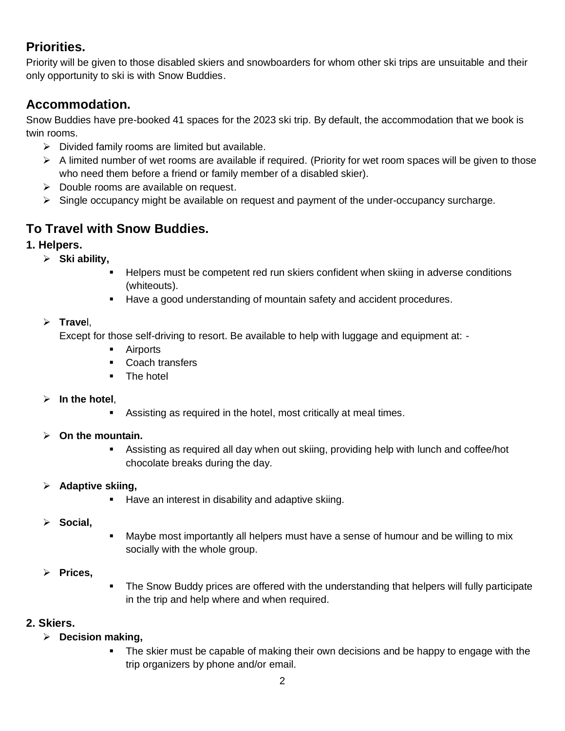# **Priorities.**

Priority will be given to those disabled skiers and snowboarders for whom other ski trips are unsuitable and their only opportunity to ski is with Snow Buddies.

# **Accommodation.**

Snow Buddies have pre-booked 41 spaces for the 2023 ski trip. By default, the accommodation that we book is twin rooms.

- $\triangleright$  Divided family rooms are limited but available.
- $\triangleright$  A limited number of wet rooms are available if required. (Priority for wet room spaces will be given to those who need them before a friend or family member of a disabled skier).
- $\triangleright$  Double rooms are available on request.
- $\triangleright$  Single occupancy might be available on request and payment of the under-occupancy surcharge.

# **To Travel with Snow Buddies.**

## **1. Helpers.**

- **Ski ability,**
	- Helpers must be competent red run skiers confident when skiing in adverse conditions (whiteouts).
	- **Have a good understanding of mountain safety and accident procedures.**

#### **Trave**l,

Except for those self-driving to resort. Be available to help with luggage and equipment at: -

- **Airports**
- Coach transfers
- The hotel

#### **In the hotel**,

Assisting as required in the hotel, most critically at meal times.

#### **On the mountain.**

 Assisting as required all day when out skiing, providing help with lunch and coffee/hot chocolate breaks during the day.

#### **Adaptive skiing,**

- **Have an interest in disability and adaptive skiing.**
- **Social,**
- Maybe most importantly all helpers must have a sense of humour and be willing to mix socially with the whole group.

## **Prices,**

 The Snow Buddy prices are offered with the understanding that helpers will fully participate in the trip and help where and when required.

## **2. Skiers.**

- **Decision making,**
	- The skier must be capable of making their own decisions and be happy to engage with the trip organizers by phone and/or email.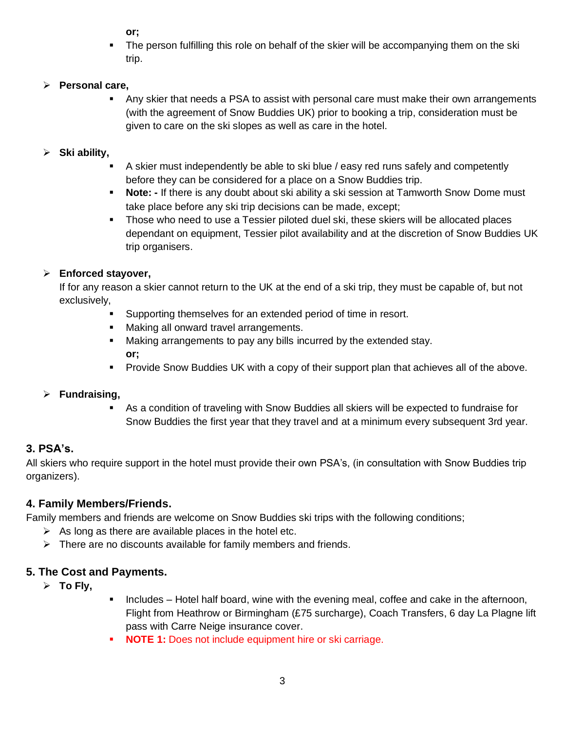**or;**

**The person fulfilling this role on behalf of the skier will be accompanying them on the ski** trip.

## **Personal care,**

 Any skier that needs a PSA to assist with personal care must make their own arrangements (with the agreement of Snow Buddies UK) prior to booking a trip, consideration must be given to care on the ski slopes as well as care in the hotel.

## **Ski ability,**

- A skier must independently be able to ski blue / easy red runs safely and competently before they can be considered for a place on a Snow Buddies trip.
- **Note: -** If there is any doubt about ski ability a ski session at Tamworth Snow Dome must take place before any ski trip decisions can be made, except;
- Those who need to use a Tessier piloted duel ski, these skiers will be allocated places dependant on equipment, Tessier pilot availability and at the discretion of Snow Buddies UK trip organisers.

# **Enforced stayover,**

If for any reason a skier cannot return to the UK at the end of a ski trip, they must be capable of, but not exclusively,

- Supporting themselves for an extended period of time in resort.
- Making all onward travel arrangements.
- **Making arrangements to pay any bills incurred by the extended stay. or;**
- Provide Snow Buddies UK with a copy of their support plan that achieves all of the above.

## **Fundraising,**

 As a condition of traveling with Snow Buddies all skiers will be expected to fundraise for Snow Buddies the first year that they travel and at a minimum every subsequent 3rd year.

# **3. PSA's.**

All skiers who require support in the hotel must provide their own PSA's, (in consultation with Snow Buddies trip organizers).

## **4. Family Members/Friends.**

Family members and friends are welcome on Snow Buddies ski trips with the following conditions;

- $\triangleright$  As long as there are available places in the hotel etc.
- $\triangleright$  There are no discounts available for family members and friends.

## **5. The Cost and Payments.**

- **To Fly,**
- Includes Hotel half board, wine with the evening meal, coffee and cake in the afternoon, Flight from Heathrow or Birmingham (£75 surcharge), Coach Transfers, 6 day La Plagne lift pass with Carre Neige insurance cover.
- **NOTE 1:** Does not include equipment hire or ski carriage.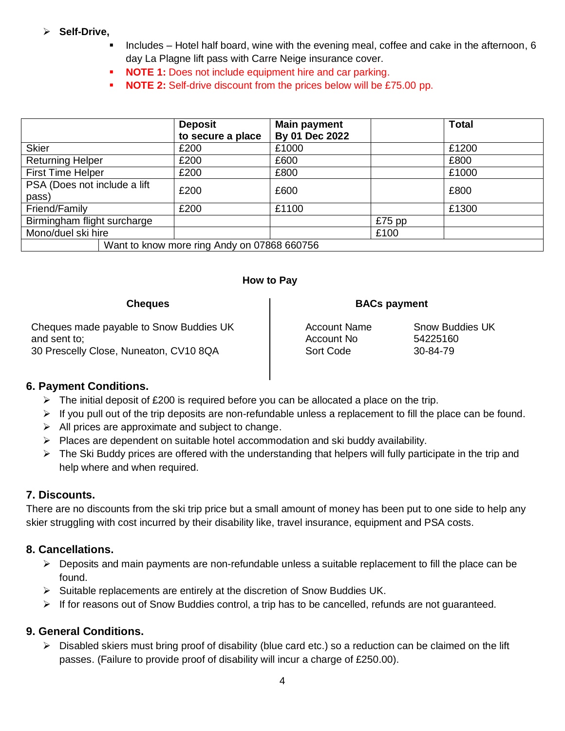#### **Self-Drive,**

- Includes Hotel half board, wine with the evening meal, coffee and cake in the afternoon, 6 day La Plagne lift pass with Carre Neige insurance cover.
	- **NOTE 1:** Does not include equipment hire and car parking.
- **NOTE 2:** Self-drive discount from the prices below will be £75.00 pp.

|                                       | <b>Deposit</b><br>to secure a place         | <b>Main payment</b><br>By 01 Dec 2022 |          | <b>Total</b> |
|---------------------------------------|---------------------------------------------|---------------------------------------|----------|--------------|
| <b>Skier</b>                          | £200                                        | £1000                                 |          | £1200        |
| <b>Returning Helper</b>               | £200                                        | £600                                  |          | £800         |
| <b>First Time Helper</b>              | £200                                        | £800                                  |          | £1000        |
| PSA (Does not include a lift<br>pass) | £200                                        | £600                                  |          | £800         |
| Friend/Family                         | £200                                        | £1100                                 |          | £1300        |
| Birmingham flight surcharge           |                                             |                                       | $£75$ pp |              |
| Mono/duel ski hire                    |                                             |                                       | £100     |              |
|                                       | Want to know more ring Andy on 07868 660756 |                                       |          |              |

#### **How to Pay**

| <b>Cheques</b>                          | <b>BACs payment</b> |                        |  |
|-----------------------------------------|---------------------|------------------------|--|
| Cheques made payable to Snow Buddies UK | <b>Account Name</b> | <b>Snow Buddies UK</b> |  |
| and sent to;                            | Account No          | 54225160               |  |
| 30 Prescelly Close, Nuneaton, CV10 8QA  | Sort Code           | 30-84-79               |  |

#### **6. Payment Conditions.**

- $\triangleright$  The initial deposit of £200 is required before you can be allocated a place on the trip.
- $\triangleright$  If you pull out of the trip deposits are non-refundable unless a replacement to fill the place can be found.
- $\triangleright$  All prices are approximate and subject to change.
- $\triangleright$  Places are dependent on suitable hotel accommodation and ski buddy availability.
- $\triangleright$  The Ski Buddy prices are offered with the understanding that helpers will fully participate in the trip and help where and when required.

#### **7. Discounts.**

There are no discounts from the ski trip price but a small amount of money has been put to one side to help any skier struggling with cost incurred by their disability like, travel insurance, equipment and PSA costs.

#### **8. Cancellations.**

- $\triangleright$  Deposits and main payments are non-refundable unless a suitable replacement to fill the place can be found.
- $\triangleright$  Suitable replacements are entirely at the discretion of Snow Buddies UK.
- $\triangleright$  If for reasons out of Snow Buddies control, a trip has to be cancelled, refunds are not guaranteed.

#### **9. General Conditions.**

 $\triangleright$  Disabled skiers must bring proof of disability (blue card etc.) so a reduction can be claimed on the lift passes. (Failure to provide proof of disability will incur a charge of £250.00).